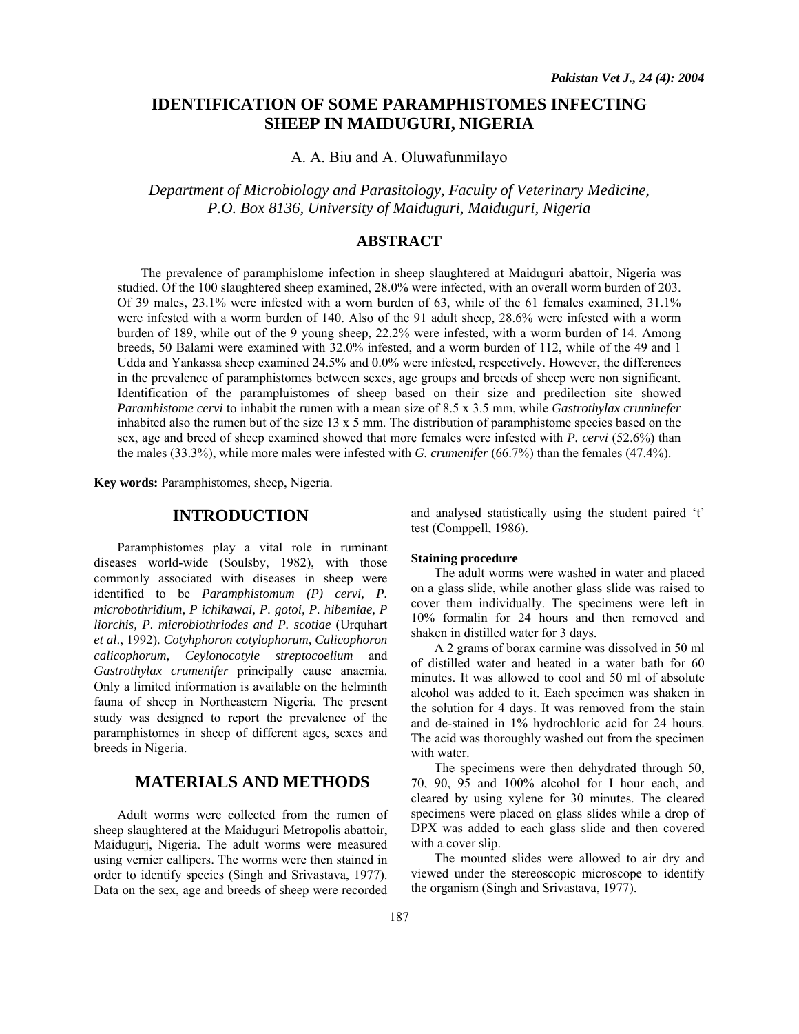# **IDENTIFICATION OF SOME PARAMPHISTOMES INFECTING SHEEP IN MAIDUGURI, NIGERIA**

A. A. Biu and A. Oluwafunmilayo

*Department of Microbiology and Parasitology, Faculty of Veterinary Medicine, P.O. Box 8136, University of Maiduguri, Maiduguri, Nigeria*

## **ABSTRACT**

The prevalence of paramphislome infection in sheep slaughtered at Maiduguri abattoir, Nigeria was studied. Of the 100 slaughtered sheep examined, 28.0% were infected, with an overall worm burden of 203. Of 39 males, 23.1% were infested with a worn burden of 63, while of the 61 females examined, 31.1% were infested with a worm burden of 140. Also of the 91 adult sheep, 28.6% were infested with a worm burden of 189, while out of the 9 young sheep, 22.2% were infested, with a worm burden of 14. Among breeds, 50 Balami were examined with 32.0% infested, and a worm burden of 112, while of the 49 and 1 Udda and Yankassa sheep examined 24.5% and 0.0% were infested, respectively. However, the differences in the prevalence of paramphistomes between sexes, age groups and breeds of sheep were non significant. Identification of the parampluistomes of sheep based on their size and predilection site showed *Paramhistome cervi* to inhabit the rumen with a mean size of 8.5 x 3.5 mm, while *Gastrothylax cruminefer*  inhabited also the rumen but of the size  $13 \times 5$  mm. The distribution of paramphistome species based on the sex, age and breed of sheep examined showed that more females were infested with *P. cervi* (52.6%) than the males (33.3%), while more males were infested with *G. crumenifer* (66.7%) than the females (47.4%).

**Key words:** Paramphistomes, sheep, Nigeria.

## **INTRODUCTION**

Paramphistomes play a vital role in ruminant diseases world-wide (Soulsby, 1982), with those commonly associated with diseases in sheep were identified to be *Paramphistomum (P) cervi, P. microbothridium, P ichikawai, P. gotoi, P. hibemiae, P liorchis, P. microbiothriodes and P. scotiae* (Urquhart *et al*., 1992). *Cotyhphoron cotylophorum, Calicophoron calicophorum, Ceylonocotyle streptocoelium* and *Gastrothylax crumenifer* principally cause anaemia. Only a limited information is available on the helminth fauna of sheep in Northeastern Nigeria. The present study was designed to report the prevalence of the paramphistomes in sheep of different ages, sexes and breeds in Nigeria.

# **MATERIALS AND METHODS**

Adult worms were collected from the rumen of sheep slaughtered at the Maiduguri Metropolis abattoir, Maidugurj, Nigeria. The adult worms were measured using vernier callipers. The worms were then stained in order to identify species (Singh and Srivastava, 1977). Data on the sex, age and breeds of sheep were recorded

and analysed statistically using the student paired 't' test (Comppell, 1986).

#### **Staining procedure**

The adult worms were washed in water and placed on a glass slide, while another glass slide was raised to cover them individually. The specimens were left in 10% formalin for 24 hours and then removed and shaken in distilled water for 3 days.

A 2 grams of borax carmine was dissolved in 50 ml of distilled water and heated in a water bath for 60 minutes. It was allowed to cool and 50 ml of absolute alcohol was added to it. Each specimen was shaken in the solution for 4 days. It was removed from the stain and de-stained in 1% hydrochloric acid for 24 hours. The acid was thoroughly washed out from the specimen with water.

The specimens were then dehydrated through 50, 70, 90, 95 and 100% alcohol for I hour each, and cleared by using xylene for 30 minutes. The cleared specimens were placed on glass slides while a drop of DPX was added to each glass slide and then covered with a cover slip.

The mounted slides were allowed to air dry and viewed under the stereoscopic microscope to identify the organism (Singh and Srivastava, 1977).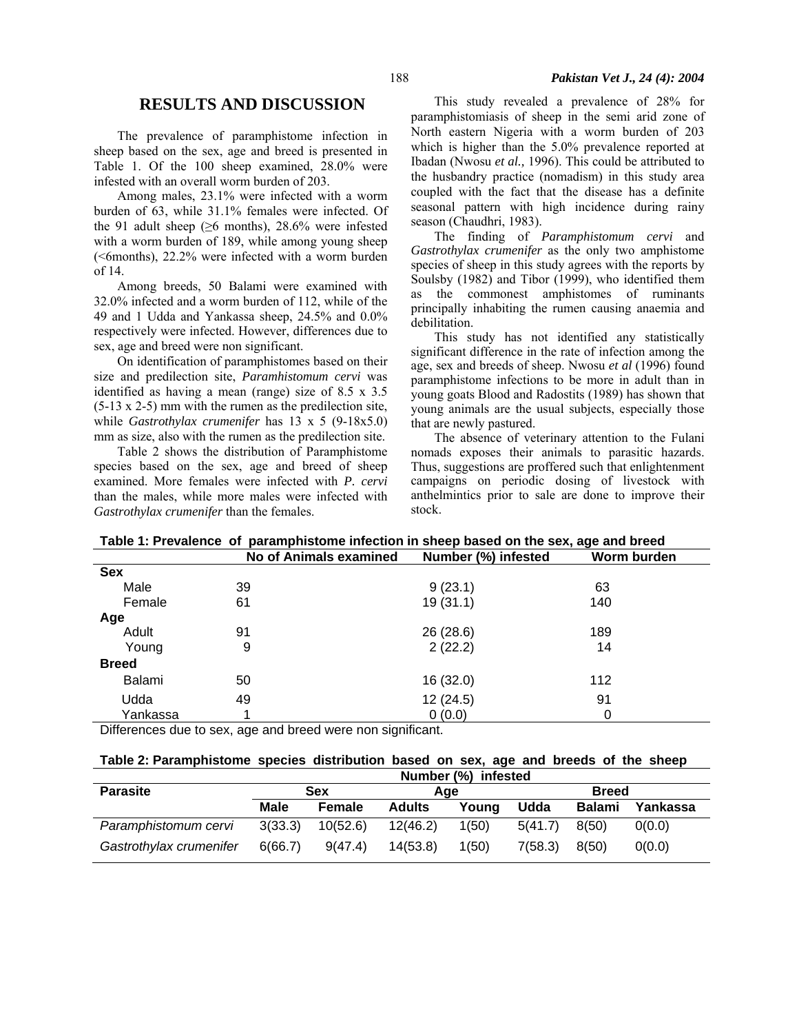## **RESULTS AND DISCUSSION**

The prevalence of paramphistome infection in sheep based on the sex, age and breed is presented in Table 1. Of the 100 sheep examined, 28.0% were infested with an overall worm burden of 203.

Among males, 23.1% were infected with a worm burden of 63, while 31.1% females were infected. Of the 91 adult sheep ( $\geq 6$  months), 28.6% were infested with a worm burden of 189, while among young sheep (<6months), 22.2% were infected with a worm burden of 14.

Among breeds, 50 Balami were examined with 32.0% infected and a worm burden of 112, while of the 49 and 1 Udda and Yankassa sheep, 24.5% and 0.0% respectively were infected. However, differences due to sex, age and breed were non significant.

On identification of paramphistomes based on their size and predilection site, *Paramhistomum cervi* was identified as having a mean (range) size of 8.5 x 3.5 (5-13 x 2-5) mm with the rumen as the predilection site, while *Gastrothylax crumenifer* has 13 x 5 (9-18x5.0) mm as size, also with the rumen as the predilection site.

Table 2 shows the distribution of Paramphistome species based on the sex, age and breed of sheep examined. More females were infected with *P. cervi*  than the males, while more males were infected with *Gastrothylax crumenifer* than the females.

This study revealed a prevalence of 28% for paramphistomiasis of sheep in the semi arid zone of North eastern Nigeria with a worm burden of 203 which is higher than the 5.0% prevalence reported at Ibadan (Nwosu *et al.,* 1996). This could be attributed to the husbandry practice (nomadism) in this study area coupled with the fact that the disease has a definite seasonal pattern with high incidence during rainy season (Chaudhri, 1983).

The finding of *Paramphistomum cervi* and *Gastrothylax crumenifer* as the only two amphistome species of sheep in this study agrees with the reports by Soulsby (1982) and Tibor (1999), who identified them as the commonest amphistomes of ruminants principally inhabiting the rumen causing anaemia and debilitation.

This study has not identified any statistically significant difference in the rate of infection among the age, sex and breeds of sheep. Nwosu *et al* (1996) found paramphistome infections to be more in adult than in young goats Blood and Radostits (1989) has shown that young animals are the usual subjects, especially those that are newly pastured.

The absence of veterinary attention to the Fulani nomads exposes their animals to parasitic hazards. Thus, suggestions are proffered such that enlightenment campaigns on periodic dosing of livestock with anthelmintics prior to sale are done to improve their stock.

| Table T. Frevalence of paramphistome intection in sheep based on the sex, age and breed |                               |                     |             |  |  |  |  |
|-----------------------------------------------------------------------------------------|-------------------------------|---------------------|-------------|--|--|--|--|
|                                                                                         | <b>No of Animals examined</b> | Number (%) infested | Worm burden |  |  |  |  |
| <b>Sex</b>                                                                              |                               |                     |             |  |  |  |  |
| Male                                                                                    | 39                            | 9(23.1)             | 63          |  |  |  |  |
| Female                                                                                  | 61                            | 19(31.1)            | 140         |  |  |  |  |
| Age                                                                                     |                               |                     |             |  |  |  |  |
| Adult                                                                                   | 91                            | 26(28.6)            | 189         |  |  |  |  |
| Young                                                                                   | 9                             | 2(22.2)             | 14          |  |  |  |  |
| <b>Breed</b>                                                                            |                               |                     |             |  |  |  |  |
| Balami                                                                                  | 50                            | 16 (32.0)           | 112         |  |  |  |  |
| Udda                                                                                    | 49                            | 12(24.5)            | 91          |  |  |  |  |
| Yankassa                                                                                |                               | 0(0.0)              | 0           |  |  |  |  |

**Table 1: Prevalence of paramphistome infection in sheep based on the sex, age and breed** 

Differences due to sex, age and breed were non significant.

### **Table 2: Paramphistome species distribution based on sex, age and breeds of the sheep**

|                         | Number (%) infested |          |               |       |              |               |          |
|-------------------------|---------------------|----------|---------------|-------|--------------|---------------|----------|
| <b>Parasite</b>         | <b>Sex</b>          |          | Age           |       | <b>Breed</b> |               |          |
|                         | Male                | Female   | <b>Adults</b> | Youna | <b>Udda</b>  | <b>Balami</b> | Yankassa |
| Paramphistomum cervi    | 3(33.3)             | 10(52.6) | 12(46.2)      | 1(50) | 5(41.7)      | 8(50)         | O(0.0)   |
| Gastrothylax crumenifer | 6(66.7)             | 9(47.4)  | 14(53.8)      | 1(50) | 7(58.3)      | 8(50)         | 0(0.0)   |